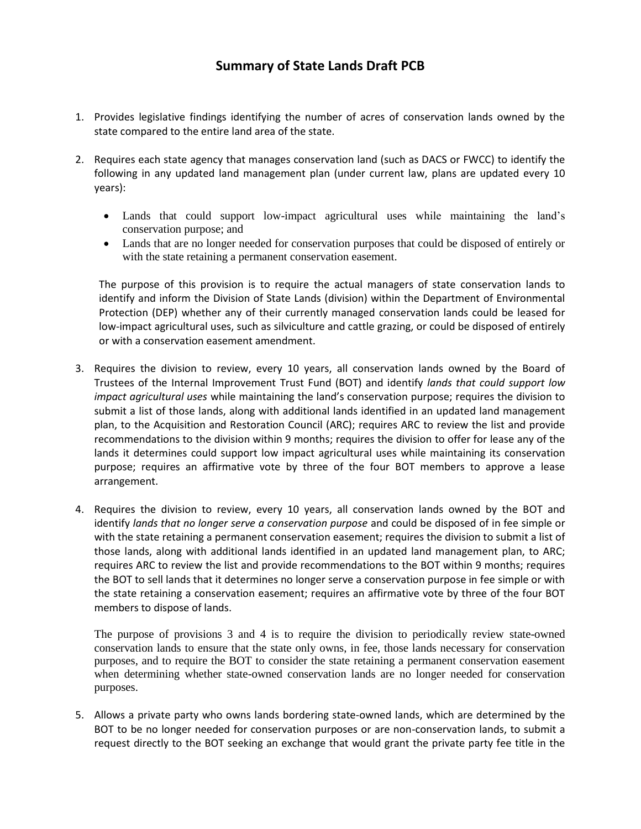- 1. Provides legislative findings identifying the number of acres of conservation lands owned by the state compared to the entire land area of the state.
- 2. Requires each state agency that manages conservation land (such as DACS or FWCC) to identify the following in any updated land management plan (under current law, plans are updated every 10 years):
	- Lands that could support low-impact agricultural uses while maintaining the land's conservation purpose; and
	- Lands that are no longer needed for conservation purposes that could be disposed of entirely or with the state retaining a permanent conservation easement.

The purpose of this provision is to require the actual managers of state conservation lands to identify and inform the Division of State Lands (division) within the Department of Environmental Protection (DEP) whether any of their currently managed conservation lands could be leased for low-impact agricultural uses, such as silviculture and cattle grazing, or could be disposed of entirely or with a conservation easement amendment.

- 3. Requires the division to review, every 10 years, all conservation lands owned by the Board of Trustees of the Internal Improvement Trust Fund (BOT) and identify *lands that could support low impact agricultural uses* while maintaining the land's conservation purpose; requires the division to submit a list of those lands, along with additional lands identified in an updated land management plan, to the Acquisition and Restoration Council (ARC); requires ARC to review the list and provide recommendations to the division within 9 months; requires the division to offer for lease any of the lands it determines could support low impact agricultural uses while maintaining its conservation purpose; requires an affirmative vote by three of the four BOT members to approve a lease arrangement.
- 4. Requires the division to review, every 10 years, all conservation lands owned by the BOT and identify *lands that no longer serve a conservation purpose* and could be disposed of in fee simple or with the state retaining a permanent conservation easement; requires the division to submit a list of those lands, along with additional lands identified in an updated land management plan, to ARC; requires ARC to review the list and provide recommendations to the BOT within 9 months; requires the BOT to sell lands that it determines no longer serve a conservation purpose in fee simple or with the state retaining a conservation easement; requires an affirmative vote by three of the four BOT members to dispose of lands.

The purpose of provisions 3 and 4 is to require the division to periodically review state-owned conservation lands to ensure that the state only owns, in fee, those lands necessary for conservation purposes, and to require the BOT to consider the state retaining a permanent conservation easement when determining whether state-owned conservation lands are no longer needed for conservation purposes.

5. Allows a private party who owns lands bordering state-owned lands, which are determined by the BOT to be no longer needed for conservation purposes or are non-conservation lands, to submit a request directly to the BOT seeking an exchange that would grant the private party fee title in the